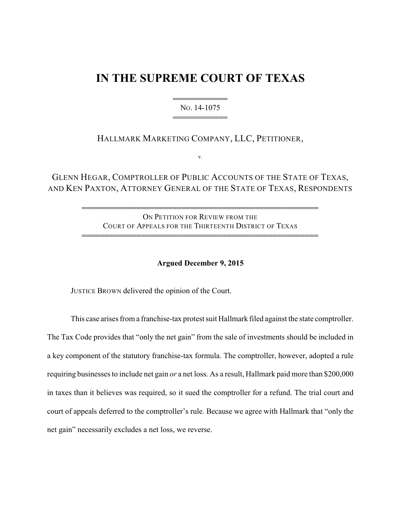# **IN THE SUPREME COURT OF TEXAS**

444444444444 NO. 14-1075 444444444444

# HALLMARK MARKETING COMPANY, LLC, PETITIONER,

v.

GLENN HEGAR, COMPTROLLER OF PUBLIC ACCOUNTS OF THE STATE OF TEXAS, AND KEN PAXTON, ATTORNEY GENERAL OF THE STATE OF TEXAS, RESPONDENTS

> ON PETITION FOR REVIEW FROM THE COURT OF APPEALS FOR THE THIRTEENTH DISTRICT OF TEXAS 4444444444444444444444444444444444444444444444444444

> 4444444444444444444444444444444444444444444444444444

## **Argued December 9, 2015**

JUSTICE BROWN delivered the opinion of the Court.

This case arises from a franchise-tax protest suit Hallmark filed against the state comptroller. The Tax Code provides that "only the net gain" from the sale of investments should be included in a key component of the statutory franchise-tax formula. The comptroller, however, adopted a rule requiring businesses to include net gain *or* a net loss. As a result, Hallmark paid more than \$200,000 in taxes than it believes was required, so it sued the comptroller for a refund. The trial court and court of appeals deferred to the comptroller's rule. Because we agree with Hallmark that "only the net gain" necessarily excludes a net loss, we reverse.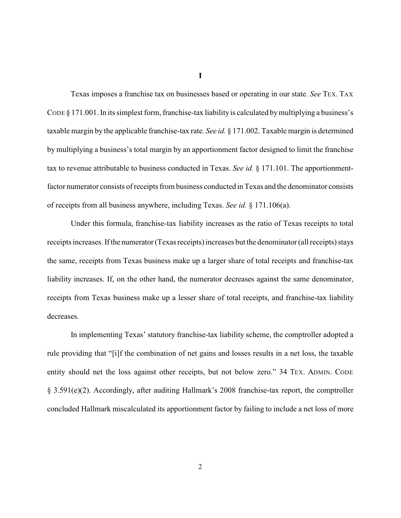**I**

Texas imposes a franchise tax on businesses based or operating in our state. *See* TEX. TAX CODE § 171.001. In its simplest form, franchise-tax liability is calculated by multiplying a business's taxable margin by the applicable franchise-tax rate. *See id.* § 171.002. Taxable margin is determined by multiplying a business's total margin by an apportionment factor designed to limit the franchise tax to revenue attributable to business conducted in Texas. *See id.* § 171.101. The apportionmentfactor numerator consists of receipts from business conducted in Texas and the denominator consists of receipts from all business anywhere, including Texas. *See id.* § 171.106(a).

Under this formula, franchise-tax liability increases as the ratio of Texas receipts to total receipts increases. If the numerator (Texas receipts) increases but the denominator (all receipts) stays the same, receipts from Texas business make up a larger share of total receipts and franchise-tax liability increases. If, on the other hand, the numerator decreases against the same denominator, receipts from Texas business make up a lesser share of total receipts, and franchise-tax liability decreases.

In implementing Texas' statutory franchise-tax liability scheme, the comptroller adopted a rule providing that "[i]f the combination of net gains and losses results in a net loss, the taxable entity should net the loss against other receipts, but not below zero." 34 TEX. ADMIN. CODE § 3.591(e)(2). Accordingly, after auditing Hallmark's 2008 franchise-tax report, the comptroller concluded Hallmark miscalculated its apportionment factor by failing to include a net loss of more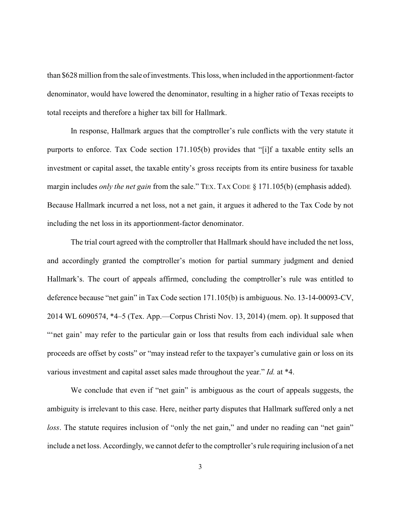than \$628 million from the sale of investments. This loss, when included in the apportionment-factor denominator, would have lowered the denominator, resulting in a higher ratio of Texas receipts to total receipts and therefore a higher tax bill for Hallmark.

In response, Hallmark argues that the comptroller's rule conflicts with the very statute it purports to enforce. Tax Code section 171.105(b) provides that "[i]f a taxable entity sells an investment or capital asset, the taxable entity's gross receipts from its entire business for taxable margin includes *only the net gain* from the sale." TEX. TAX CODE § 171.105(b) (emphasis added). Because Hallmark incurred a net loss, not a net gain, it argues it adhered to the Tax Code by not including the net loss in its apportionment-factor denominator.

The trial court agreed with the comptroller that Hallmark should have included the net loss, and accordingly granted the comptroller's motion for partial summary judgment and denied Hallmark's. The court of appeals affirmed, concluding the comptroller's rule was entitled to deference because "net gain" in Tax Code section 171.105(b) is ambiguous. No. 13-14-00093-CV, 2014 WL 6090574, \*4–5 (Tex. App.—Corpus Christi Nov. 13, 2014) (mem. op). It supposed that ""net gain" may refer to the particular gain or loss that results from each individual sale when proceeds are offset by costs" or "may instead refer to the taxpayer's cumulative gain or loss on its various investment and capital asset sales made throughout the year." *Id.* at \*4.

We conclude that even if "net gain" is ambiguous as the court of appeals suggests, the ambiguity is irrelevant to this case. Here, neither party disputes that Hallmark suffered only a net *loss*. The statute requires inclusion of "only the net gain," and under no reading can "net gain" include a net loss. Accordingly, we cannot defer to the comptroller's rule requiring inclusion of a net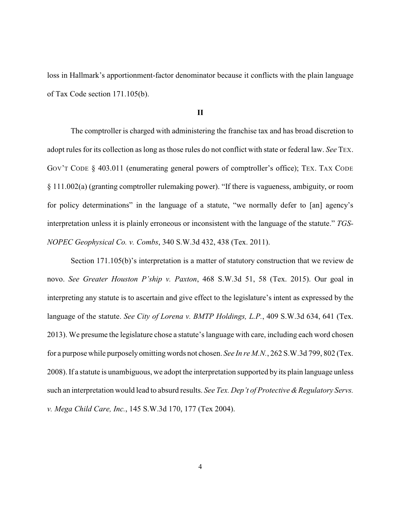loss in Hallmark's apportionment-factor denominator because it conflicts with the plain language of Tax Code section 171.105(b).

## **II**

The comptroller is charged with administering the franchise tax and has broad discretion to adopt rules for its collection as long as those rules do not conflict with state or federal law. *See* TEX. GOV'T CODE § 403.011 (enumerating general powers of comptroller's office); TEX. TAX CODE § 111.002(a) (granting comptroller rulemaking power). "If there is vagueness, ambiguity, or room for policy determinations" in the language of a statute, "we normally defer to [an] agency's interpretation unless it is plainly erroneous or inconsistent with the language of the statute." *TGS-NOPEC Geophysical Co. v. Combs*, 340 S.W.3d 432, 438 (Tex. 2011).

Section 171.105(b)'s interpretation is a matter of statutory construction that we review de novo. *See Greater Houston P'ship v. Paxton*, 468 S.W.3d 51, 58 (Tex. 2015). Our goal in interpreting any statute is to ascertain and give effect to the legislature's intent as expressed by the language of the statute. *See City of Lorena v. BMTP Holdings, L.P.*, 409 S.W.3d 634, 641 (Tex. 2013). We presume the legislature chose a statute's language with care, including each word chosen for a purpose while purposely omitting words not chosen. *See In re M.N.*, 262 S.W.3d 799, 802 (Tex. 2008). If a statute is unambiguous, we adopt the interpretation supported by its plain language unless such an interpretation would lead to absurd results. *See Tex. Dep't of Protective & Regulatory Servs. v. Mega Child Care, Inc.*, 145 S.W.3d 170, 177 (Tex 2004).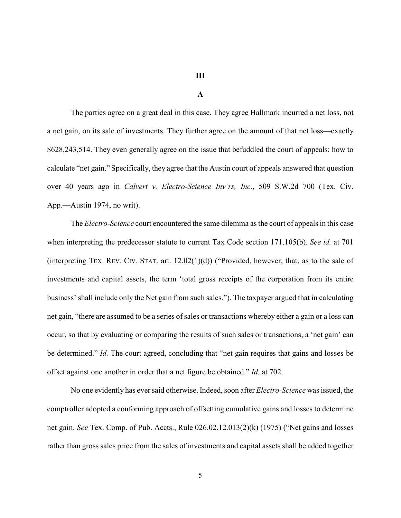**III**

#### **A**

The parties agree on a great deal in this case. They agree Hallmark incurred a net loss, not a net gain, on its sale of investments. They further agree on the amount of that net loss—exactly \$628,243,514. They even generally agree on the issue that befuddled the court of appeals: how to calculate "net gain." Specifically, they agree that the Austin court of appeals answered that question over 40 years ago in *Calvert v. Electro-Science Inv'rs, Inc.*, 509 S.W.2d 700 (Tex. Civ. App.—Austin 1974, no writ).

The *Electro-Science* court encountered the same dilemma as the court of appeals in this case when interpreting the predecessor statute to current Tax Code section 171.105(b). *See id.* at 701 (interpreting TEX. REV. CIV. STAT. art.  $12.02(1)(d)$ ) ("Provided, however, that, as to the sale of investments and capital assets, the term 'total gross receipts of the corporation from its entire business' shall include only the Net gain from such sales."). The taxpayer argued that in calculating net gain, "there are assumed to be a series of sales or transactions whereby either a gain or a loss can occur, so that by evaluating or comparing the results of such sales or transactions, a 'net gain' can be determined." *Id.* The court agreed, concluding that "net gain requires that gains and losses be offset against one another in order that a net figure be obtained." *Id.* at 702.

No one evidently has eversaid otherwise. Indeed, soon after *Electro-Science* was issued, the comptroller adopted a conforming approach of offsetting cumulative gains and losses to determine net gain. *See* Tex. Comp. of Pub. Accts., Rule 026.02.12.013(2)(k) (1975) ("Net gains and losses rather than gross sales price from the sales of investments and capital assets shall be added together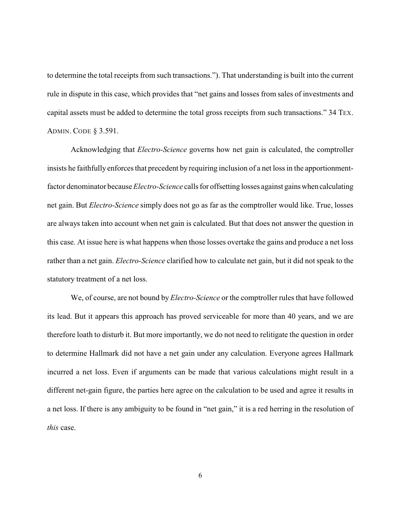to determine the total receipts from such transactions."). That understanding is built into the current rule in dispute in this case, which provides that "net gains and losses from sales of investments and capital assets must be added to determine the total gross receipts from such transactions." 34 TEX. ADMIN. CODE § 3.591.

Acknowledging that *Electro-Science* governs how net gain is calculated, the comptroller insists he faithfully enforces that precedent by requiring inclusion of a net loss in the apportionmentfactor denominator because *Electro-Science* calls for offsetting losses against gainswhen calculating net gain. But *Electro-Science* simply does not go as far as the comptroller would like. True, losses are always taken into account when net gain is calculated. But that does not answer the question in this case. At issue here is what happens when those losses overtake the gains and produce a net loss rather than a net gain. *Electro-Science* clarified how to calculate net gain, but it did not speak to the statutory treatment of a net loss.

We, of course, are not bound by *Electro-Science* or the comptroller rules that have followed its lead. But it appears this approach has proved serviceable for more than 40 years, and we are therefore loath to disturb it. But more importantly, we do not need to relitigate the question in order to determine Hallmark did not have a net gain under any calculation. Everyone agrees Hallmark incurred a net loss. Even if arguments can be made that various calculations might result in a different net-gain figure, the parties here agree on the calculation to be used and agree it results in a net loss. If there is any ambiguity to be found in "net gain," it is a red herring in the resolution of *this* case.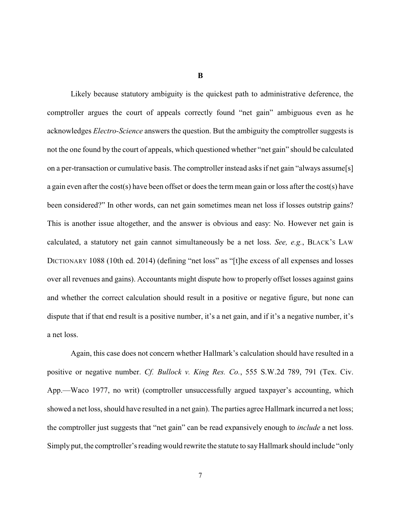**B**

Likely because statutory ambiguity is the quickest path to administrative deference, the comptroller argues the court of appeals correctly found "net gain" ambiguous even as he acknowledges *Electro-Science* answers the question. But the ambiguity the comptroller suggests is not the one found by the court of appeals, which questioned whether "net gain" should be calculated on a per-transaction or cumulative basis. The comptroller instead asks if net gain "always assume[s] a gain even after the cost(s) have been offset or does the term mean gain or loss after the cost(s) have been considered?" In other words, can net gain sometimes mean net loss if losses outstrip gains? This is another issue altogether, and the answer is obvious and easy: No. However net gain is calculated, a statutory net gain cannot simultaneously be a net loss. *See, e.g.*, BLACK'S LAW DICTIONARY 1088 (10th ed. 2014) (defining "net loss" as "[t]he excess of all expenses and losses over all revenues and gains). Accountants might dispute how to properly offset losses against gains and whether the correct calculation should result in a positive or negative figure, but none can dispute that if that end result is a positive number, it's a net gain, and if it's a negative number, it's a net loss.

Again, this case does not concern whether Hallmark's calculation should have resulted in a positive or negative number. *Cf. Bullock v. King Res. Co.*, 555 S.W.2d 789, 791 (Tex. Civ. App.—Waco 1977, no writ) (comptroller unsuccessfully argued taxpayer's accounting, which showed a net loss, should have resulted in a net gain). The parties agree Hallmark incurred a net loss; the comptroller just suggests that "net gain" can be read expansively enough to *include* a net loss. Simply put, the comptroller's reading would rewrite the statute to say Hallmark should include "only"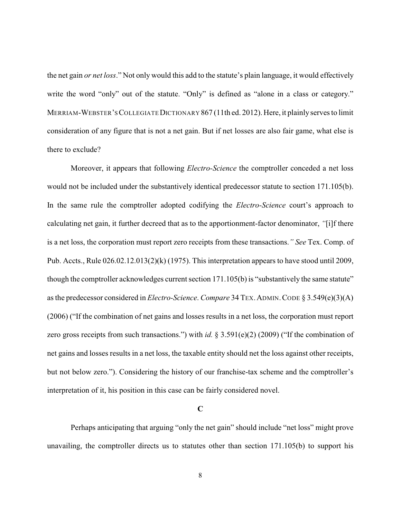the net gain *or net loss*." Not only would this add to the statute's plain language, it would effectively write the word "only" out of the statute. "Only" is defined as "alone in a class or category." MERRIAM-WEBSTER'SCOLLEGIATEDICTIONARY 867 (11th ed. 2012). Here, it plainly serves to limit consideration of any figure that is not a net gain. But if net losses are also fair game, what else is there to exclude?

Moreover, it appears that following *Electro-Science* the comptroller conceded a net loss would not be included under the substantively identical predecessor statute to section 171.105(b). In the same rule the comptroller adopted codifying the *Electro-Science* court's approach to calculating net gain, it further decreed that as to the apportionment-factor denominator, *"*[i]f there is a net loss, the corporation must report zero receipts from these transactions.*" See* Tex. Comp. of Pub. Accts., Rule 026.02.12.013(2)(k) (1975). This interpretation appears to have stood until 2009, though the comptroller acknowledges current section 171.105(b) is "substantively the same statute" as the predecessor considered in *Electro-Science*. *Compare* 34 TEX.ADMIN.CODE § 3.549(e)(3)(A) (2006) ("If the combination of net gains and losses results in a net loss, the corporation must report zero gross receipts from such transactions.") with *id.* § 3.591(e)(2) (2009) ("If the combination of net gains and losses results in a net loss, the taxable entity should net the loss against other receipts, but not below zero."). Considering the history of our franchise-tax scheme and the comptroller's interpretation of it, his position in this case can be fairly considered novel.

## **C**

Perhaps anticipating that arguing "only the net gain" should include "net loss" might prove unavailing, the comptroller directs us to statutes other than section 171.105(b) to support his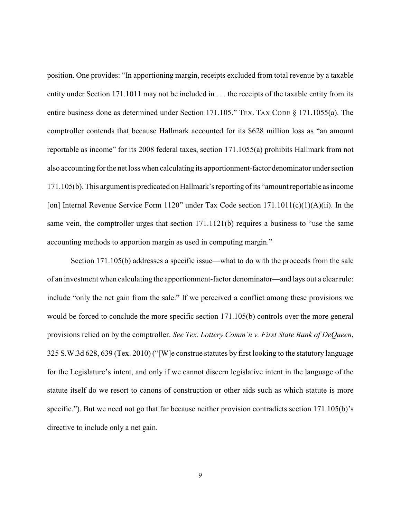position. One provides: "In apportioning margin, receipts excluded from total revenue by a taxable entity under Section 171.1011 may not be included in . . . the receipts of the taxable entity from its entire business done as determined under Section 171.105." TEX. TAX CODE § 171.1055(a). The comptroller contends that because Hallmark accounted for its \$628 million loss as "an amount reportable as income" for its 2008 federal taxes, section 171.1055(a) prohibits Hallmark from not also accounting for the net loss when calculating its apportionment-factor denominator under section 171.105(b). This argument is predicated onHallmark'sreporting of its "amount reportable as income [on] Internal Revenue Service Form 1120" under Tax Code section 171.1011(c)(1)(A)(ii). In the same vein, the comptroller urges that section 171.1121(b) requires a business to "use the same accounting methods to apportion margin as used in computing margin."

Section 171.105(b) addresses a specific issue—what to do with the proceeds from the sale of an investment when calculating the apportionment-factor denominator—and lays out a clear rule: include "only the net gain from the sale." If we perceived a conflict among these provisions we would be forced to conclude the more specific section 171.105(b) controls over the more general provisions relied on by the comptroller. *See Tex. Lottery Comm'n v. First State Bank of DeQueen*, 325 S.W.3d 628, 639 (Tex. 2010) ("[W]e construe statutes by first looking to the statutory language for the Legislature's intent, and only if we cannot discern legislative intent in the language of the statute itself do we resort to canons of construction or other aids such as which statute is more specific."). But we need not go that far because neither provision contradicts section 171.105(b)'s directive to include only a net gain.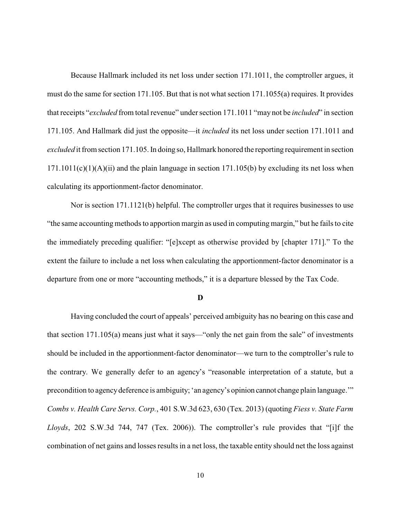Because Hallmark included its net loss under section 171.1011, the comptroller argues, it must do the same for section 171.105. But that is not what section 171.1055(a) requires. It provides that receipts "*excluded* from total revenue" under section 171.1011 "may not be *included*" in section 171.105. And Hallmark did just the opposite—it *included* its net loss under section 171.1011 and *excluded* it from section 171.105. In doing so, Hallmark honored the reporting requirement in section  $171.1011(c)(1)(A)(ii)$  and the plain language in section  $171.105(b)$  by excluding its net loss when calculating its apportionment-factor denominator.

Nor is section 171.1121(b) helpful. The comptroller urges that it requires businesses to use "the same accounting methods to apportion margin as used in computing margin," but he fails to cite the immediately preceding qualifier: "[e]xcept as otherwise provided by [chapter 171]." To the extent the failure to include a net loss when calculating the apportionment-factor denominator is a departure from one or more "accounting methods," it is a departure blessed by the Tax Code.

## **D**

Having concluded the court of appeals' perceived ambiguity has no bearing on this case and that section 171.105(a) means just what it says—"only the net gain from the sale" of investments should be included in the apportionment-factor denominator—we turn to the comptroller's rule to the contrary. We generally defer to an agency's "reasonable interpretation of a statute, but a precondition to agencydeference is ambiguity; 'an agency's opinion cannot change plain language.'" *Combs v. Health Care Servs. Corp.*, 401 S.W.3d 623, 630 (Tex. 2013) (quoting *Fiess v. State Farm Lloyds*, 202 S.W.3d 744, 747 (Tex. 2006)). The comptroller's rule provides that "[i]f the combination of net gains and losses results in a net loss, the taxable entity should net the loss against